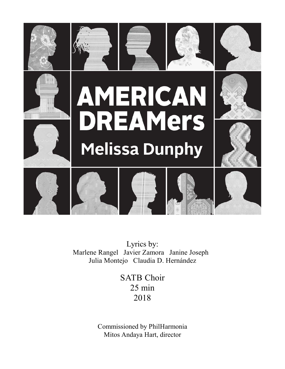

Lyrics by: Marlene Rangel Javier Zamora Janine Joseph Julia Montejo Claudia D. Hernández

> SATB Choir 25 min 2018

Commissioned by PhilHarmonia Mitos Andaya Hart, director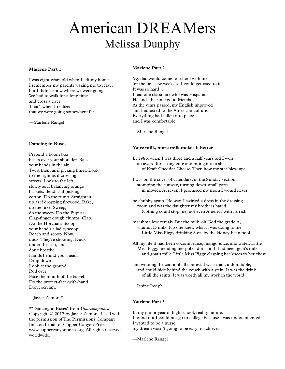# American DREAMers Melissa Dunphy

# **Marlene Part 1**

I was eight years old when I left my home. I remember my parents waking me to leave, but I didn't know where we were going. We had to walk for a long time and cross a river. That's when I realized that we were going somewhere far.

—Marlene Rangel

### **Dancing in Buses**

Pretend a boom box blasts over your shoulder. Raise your hands in the air. Twist them as if picking limes. Look to the right as if crossing streets. Look to the left, slowly as if balancing orange baskets. Bend as if picking cotton. Do the rump. Straighten up as if dropping firewood. Rake, do the rake. Sweep, do the sweep. Do the Pupusa-Clap-finger dough clumps. Clap. Do the Horchata-Scoop your hand's a ladle, scoop. Reach and scoop. Now, duck. They're shooting. Duck under the seat, and don't breathe. Hands behind your head. Drop down. Look at the ground. Roll over. Face the mouth of the barrel. Do the protect-face-with-hand. Don't scream.

### —Javier Zamora\*

\*"Dancing in Buses" from *Unaccompanied*. Copyright © 2017 by Javier Zamora. Used with the permission of The Permissions Company, Inc., on behalf of Copper Canyon Press www.coppercanyonpress.org. All rights reserved worldwide.

# **Marlene Part 2**

My dad would come to school with me for the first few weeks so I could get used to it. It was so hard... I had one classmate who was Hispanic. He and I became good friends. As the years passed, my English improved and I adjusted to the American culture. Everything had fallen into place and I was comfortable.

—Marlene Rangel

# **More milk, more milk makes it better**

In 1986, when I was three and a half years old I won an award for sitting cute and biting into a slice of Kraft Cheddar Cheese. Then how my star blew up:

I was on the cover of calendars, in the Sunday section, stomping the runway, turning down small parts in movies. At seven, I promised my mom I would never

be chubby again. No way. I swirled a dress in the dressing room and was the daughter my brothers hated. Nothing could stop me, not even America with its rich

marshmallow cereals. But the milk, oh God the grade A, vitamin D milk. No one knew what it was doing to me. Little Miss Piggy drinking 8 oz. by the kidney-bean pool.

All my life it had been coconut juice, mango juice, and water. Little Miss Piggy mending her polka dot suit. It had been goat's milk and goat's milk. Little Miss Piggy clasping her knees to her chest

and winning the cannonball contest. I was small, indomitable, and could hide behind the couch with a stein. It was the drink of all the saints. It was worth all my work in the world.

—Janine Joseph

# **Marlene Part 3**

In my junior year of high school, reality hit me. I found out I could not go to college because I was undocumented. I wanted to be a nurse my dream wasn't going to be easy to achieve.

—Marlene Rangel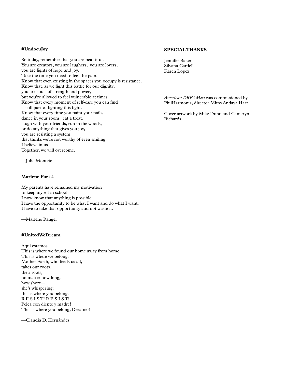### **#UndocuJoy**

So today, remember that you are beautiful. You are creators, you are laughers, you are lovers, you are lights of hope and joy. Take the time you need to feel the pain. Know that even existing in the spaces you occupy is resistance. Know that, as we fight this battle for our dignity, you are souls of strength and power, but you're allowed to feel vulnerable at times. Know that every moment of self-care you can find is still part of fighting this fight. Know that every time you paint your nails, dance in your room, eat a treat, laugh with your friends, run in the woods, or do anything that gives you joy, you are resisting a system that thinks we're not worthy of even smiling. I believe in us. Together, we will overcome.

—Julia Montejo

### **Marlene Part 4**

My parents have remained my motivation to keep myself in school. I now know that anything is possible. I have the opportunity to be what I want and do what I want. I have to take that opportunity and not waste it.

—Marlene Rangel

#### **#UnitedWeDream**

Aquí estamos. This is where we found our home away from home. This is where we belong. Mother Earth, who feeds us all, takes our roots, their roots, no matter how long, how short she's whispering: this is where you belong. R E S I S T! R E S I S T! Pelea con diente y madre! This is where you belong, Dreamer!

—Claudia D. Hernández

# **SPECIAL THANKS**

Jennifer Baker Silvana Cardell Karen Lopez

*American DREAMers* was commissioned by PhilHarmonia, director Mitos Andaya Hart.

Cover artwork by Mike Dunn and Cameryn Richards.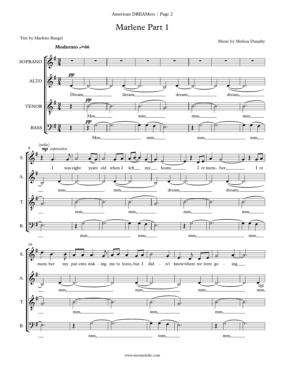# Marlene Part 1

Text by Marlene Rangel<br>
Music by Melissa Dunphy

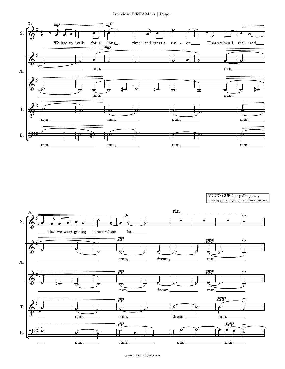

AUDIO CUE: bus pulling away Overlapping beginning of next mvmt.

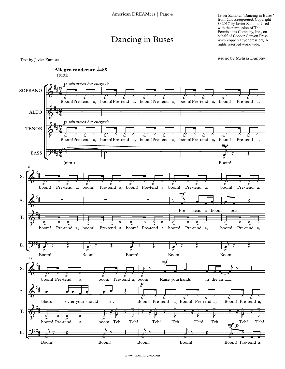Javier Zamora, "Dancing in Buses" from *Unaccompanied*. Copyright © 2017 by Javier Zamora. Used with the permission of The Permissions Company, Inc., on behalf of Copper Canyon Press www.coppercanyonpress.org. All rights reserved worldwide.

# Dancing in Buses

Text by Javier Zamora

Music by Melissa Dunphy

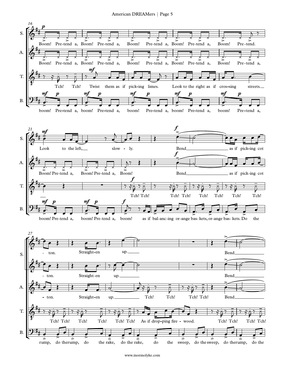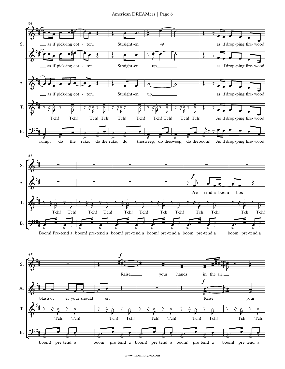

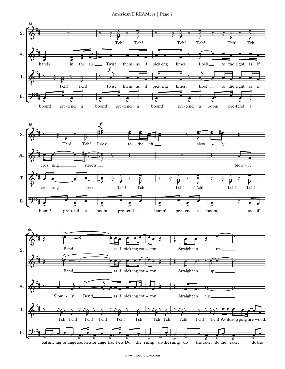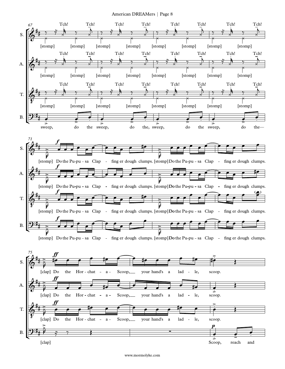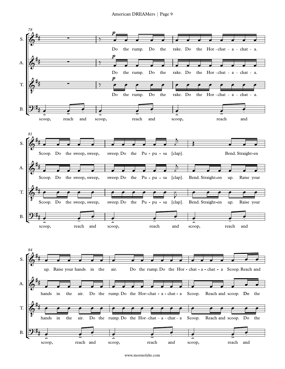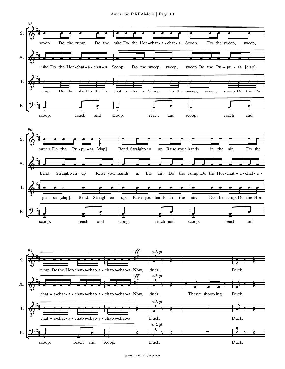

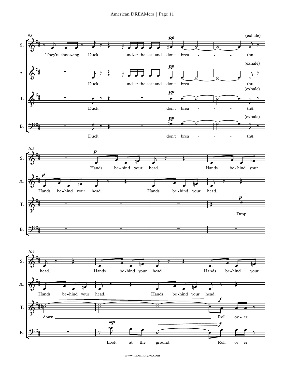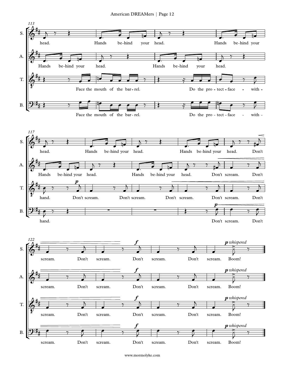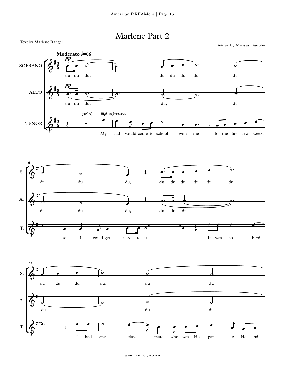Marlene Part 2

SOPRANO ALTO TENOR du pp du du, du du du du, du **Moderato**  $\sqrt{=}66$ du pp du du<u>, du, du, du, du,</u> du du My mp *espressivo* dad would come to school with me for the first few weeks S. A. T. du du du, du du du du du du, *6* du du du, du du du so I could get used to it. It was so hard... S. A. T. du du du du, du du *11* du du du I had one class - mate who was His - pan - ic. He and <u>រូ</u> 4 <u>3្</u> 3<br>4 <u>3</u> 3<br>4 Text by Marlene Rangel<br>
Music by Melissa Dunphy (solo)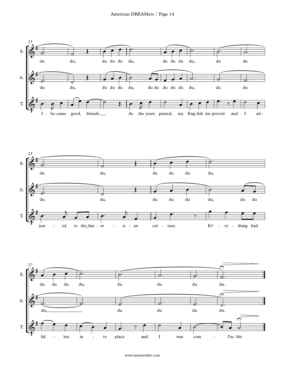



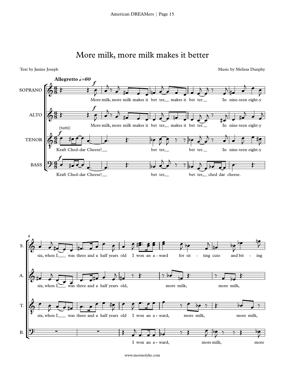

# More milk, more milk makes it better

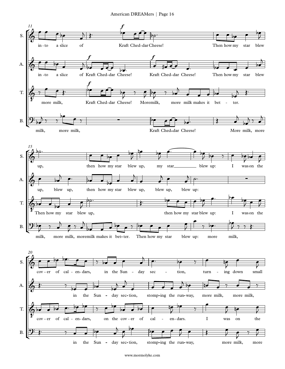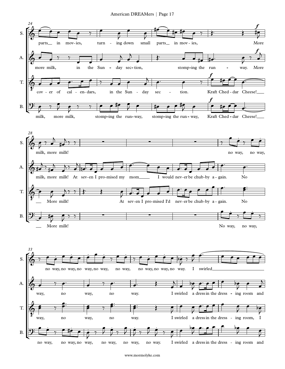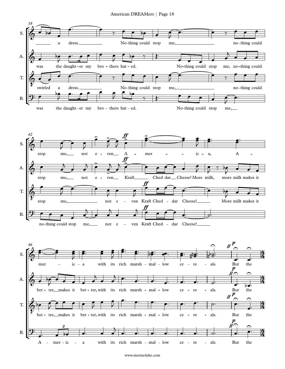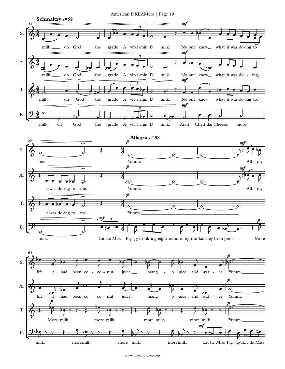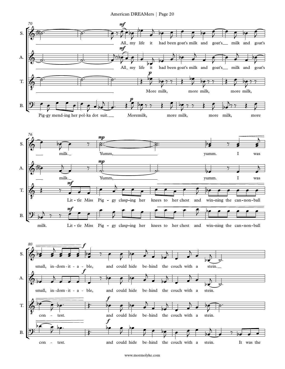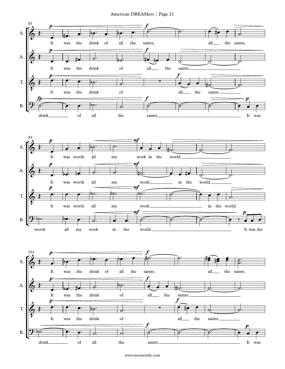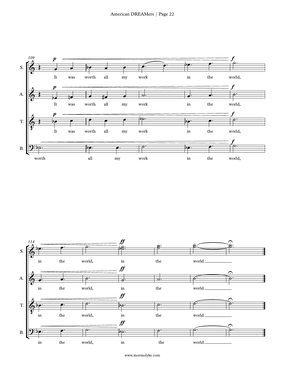

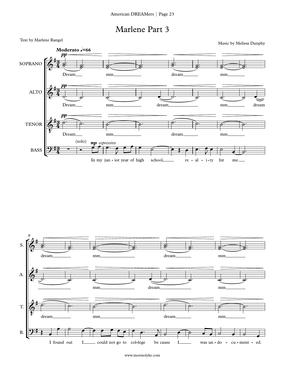# Marlene Part 3



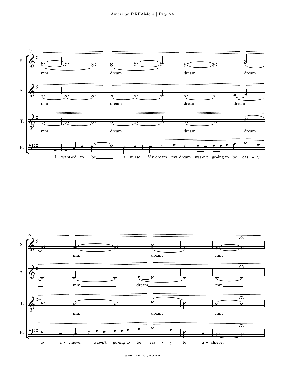

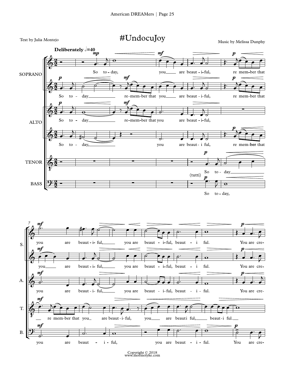

Copyright © 2018 www.mormolyke.com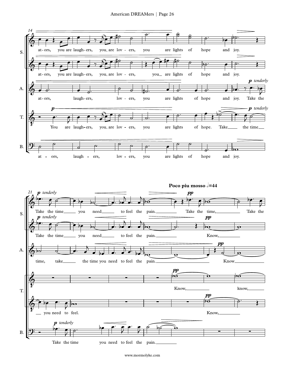

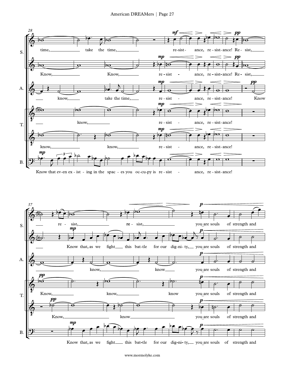

Know that ev-en ex - ist - ing in the spac - es you oc-cu-py is re - sist - ance, re - sist-ance!

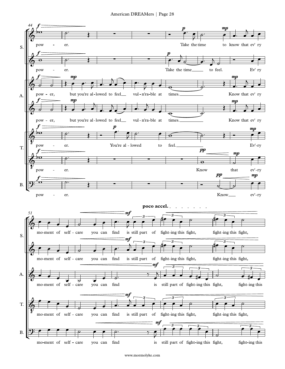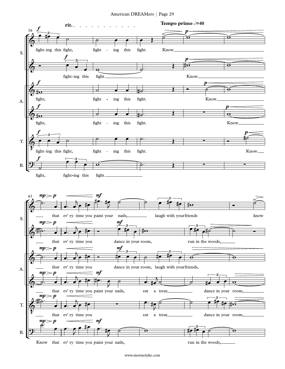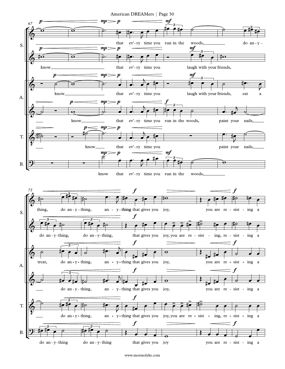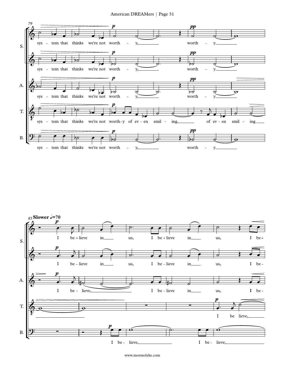

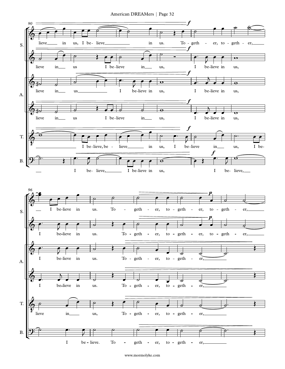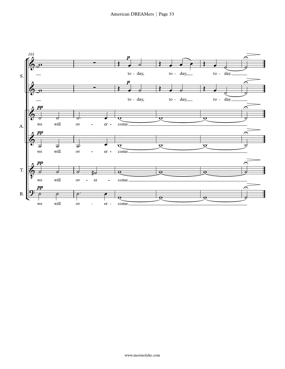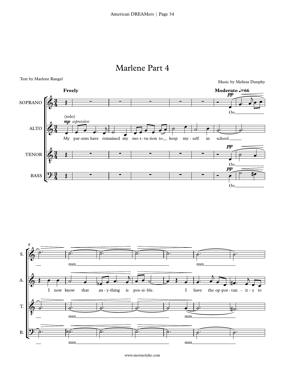# Marlene Part 4

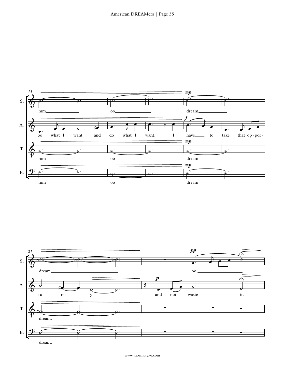

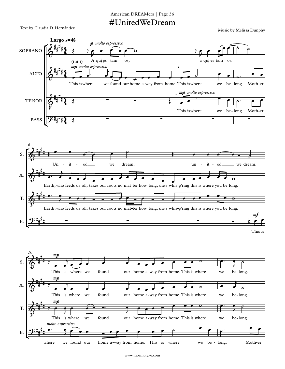#UnitedWeDream

Music by Melissa Dunphy Text by Claudia D. Hernández

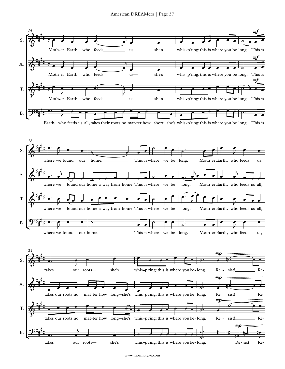